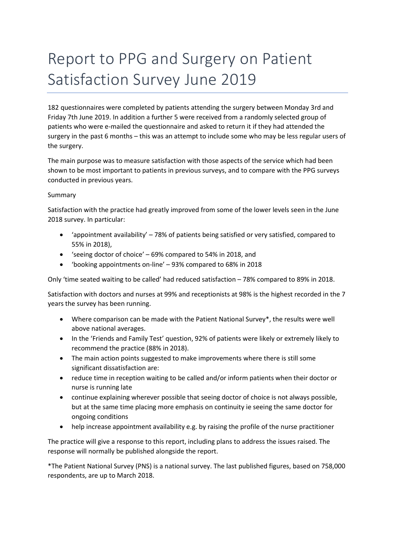# Report to PPG and Surgery on Patient Satisfaction Survey June 2019

182 questionnaires were completed by patients attending the surgery between Monday 3rd and Friday 7th June 2019. In addition a further 5 were received from a randomly selected group of patients who were e-mailed the questionnaire and asked to return it if they had attended the surgery in the past 6 months – this was an attempt to include some who may be less regular users of the surgery.

The main purpose was to measure satisfaction with those aspects of the service which had been shown to be most important to patients in previous surveys, and to compare with the PPG surveys conducted in previous years.

# Summary

Satisfaction with the practice had greatly improved from some of the lower levels seen in the June 2018 survey. In particular:

- 'appointment availability'  $-78%$  of patients being satisfied or very satisfied, compared to 55% in 2018),
- 'seeing doctor of choice' 69% compared to 54% in 2018, and
- 'booking appointments on-line' 93% compared to 68% in 2018

Only 'time seated waiting to be called' had reduced satisfaction – 78% compared to 89% in 2018.

Satisfaction with doctors and nurses at 99% and receptionists at 98% is the highest recorded in the 7 years the survey has been running.

- Where comparison can be made with the Patient National Survey\*, the results were well above national averages.
- In the 'Friends and Family Test' question, 92% of patients were likely or extremely likely to recommend the practice (88% in 2018).
- The main action points suggested to make improvements where there is still some significant dissatisfaction are:
- reduce time in reception waiting to be called and/or inform patients when their doctor or nurse is running late
- continue explaining wherever possible that seeing doctor of choice is not always possible, but at the same time placing more emphasis on continuity ie seeing the same doctor for ongoing conditions
- help increase appointment availability e.g. by raising the profile of the nurse practitioner

The practice will give a response to this report, including plans to address the issues raised. The response will normally be published alongside the report.

\*The Patient National Survey (PNS) is a national survey. The last published figures, based on 758,000 respondents, are up to March 2018.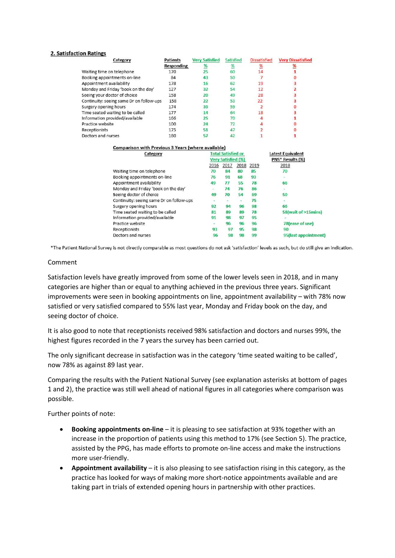#### 2. Satisfaction Ratings

| Category                                 | <b>Patients</b> | <b>Very Satisfied</b> | Satisfied | <b>Dissatisfied</b> | <b>Very Dissatisfied</b> |
|------------------------------------------|-----------------|-----------------------|-----------|---------------------|--------------------------|
|                                          | Responding      |                       | %         |                     |                          |
| Waiting time on telephone                | 170             | 25                    | 60        |                     |                          |
| Booking appointments on-line             | 84              | 43                    | 50        |                     |                          |
| Appointment availability                 | 178             | 16                    | 62        | 19                  |                          |
| Monday and Friday 'book on the day'      | 127             | 32                    | 54        | 12                  |                          |
| Seeing your doctor of choice             | 158             | 20                    | 49        | 28                  |                          |
| Continuity: seeing same Dr on follow-ups | 158             | 22                    | 53        | 22                  |                          |
| Surgery opening hours                    | 174             | 39                    | 59        |                     |                          |
| Time seated waiting to be called         | 177             | 14                    | 64        | 18                  |                          |
| Information provided/available           | 166             | 25                    | 70        |                     |                          |
| Practice website                         | 100             | 24                    |           |                     |                          |
| Receptionists                            | 175             | 51                    |           |                     |                          |
| Doctors and nurses                       | 180             | 57                    |           |                     |                          |

| Category                                 |               | <b>Total Satisfied or</b> |      | <b>Latest Equivalent</b> |                              |
|------------------------------------------|---------------|---------------------------|------|--------------------------|------------------------------|
|                                          |               | <b>Very Satisfied (%)</b> |      |                          | PNS <sup>*</sup> Results (%) |
|                                          | 2016          | 2017                      | 2018 | 2019                     | 2018                         |
| Waiting time on telephone                | 70            | 84                        | 80   | 85                       | 70                           |
| Booking appointments on-line             | 76            | 91                        | 68   | 93                       | $\sim$                       |
| Appointment availability                 | 49            | 77                        | 55   | 78                       | 66                           |
| Monday and Friday 'book on the day'      | $\rightarrow$ | 74                        | 76   | 86                       | Ξ                            |
| Seeing doctor of choice                  | 49            | 70                        | 54   | 69                       | 50                           |
| Continuity: seeing same Dr on follow-ups |               | $\overline{\phantom{a}}$  |      | 75                       | $\blacksquare$               |
| Surgery opening hours                    | 92            | 94                        | 96   | 98                       | 66                           |
| Time seated waiting to be called         | 81            | 89                        | 89   | 78                       | 58(wait of >15mins)          |
| Information provided/available           | 91            | 98                        | 97   | 95                       |                              |
| Practice website                         | E,            | 96                        | 96   | 96                       | 78(ease of use)              |
| Receptionists                            | 93            | 97                        | 95   | 98                       | 90                           |
| Doctors and nurses                       | 96            | 98                        | 98   | 99                       | 95(last appointment)         |

\*The Patient National Survey is not directly comparable as most questions do not ask 'satisfaction' levels as such, but do still give an indication.

#### Comment

Satisfaction levels have greatly improved from some of the lower levels seen in 2018, and in many categories are higher than or equal to anything achieved in the previous three years. Significant Satisfaction levels have greatly improved from some of the lower levels seen in 2018<br>categories are higher than or equal to anything achieved in the previous three years.<br>improvements were seen in booking appointments on l satisfied or very satisfied compared to 55% last year, Monday and Friday book on the day, and seeing doctor of choice. satisfied or very satisfied compared to 55% last year, Monday and Friday book on the day, and<br>seeing doctor of choice.<br>It is also good to note that receptionists received 98% satisfaction and doctors and nurses 99%, the

highest figures recorded in the 7 years the survey has been carried out.

The only significant decrease in satisfaction was in the category 'time seated waiting to be called', now 78% as against 89 last year. The only significant decrease in satisfaction was in the category 'time seated waiting to be called',<br>now 78% as against 89 last year.<br>Comparing the results with the Patient National Survey (see explanation asterisks at bo

1 and 2), the practice was still well ahead of national figures in all categories where comparison was possible.

Further points of note:

- Booking appointments on-line it is pleasing to see satisfaction at 93% together with an increase in the proportion of patients using this method to 17% (see Section 5). The practice, increase in the proportion of patients using this method to 17% (see Section 5). The practicons<br>assisted by the PPG, has made efforts to promote on-line access and make the instructions more user-friendly. een in booking appointments on line, appointment availability – with 78% now<br>ied compared to 55% last year, Monday and Friday book on the day, and<br>e.<br>that receptionists received 98% satisfaction and doctors and nurses 99%, faction<br>| carriec<br>!gory 'ti<br>|e explai<br>|s in all d<br>|<br>!e satisfa<br>|-notice
- Appointment availability it is also pleasing to see satisfaction rising in this category, as the practice has looked for ways of making more short-notice appointments available and are taking part in trials of extended opening hours in partnership with other practices.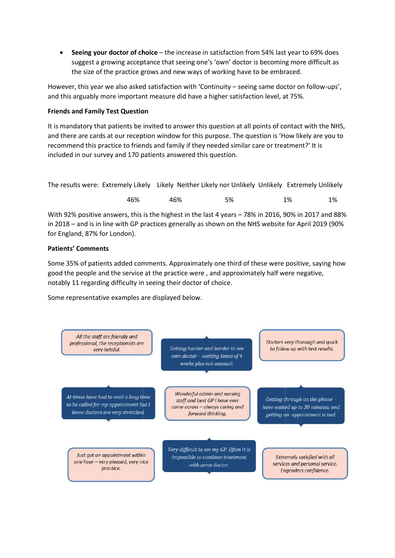• Seeing your doctor of choice - the increase in satisfaction from 54% last year to 69% does suggest a growing acceptance that seeing one's 'own' doctor is becoming more difficult as the size of the practice grows and new ways of working have to be embraced. suggest a growing acceptance that seeing one's 'own' doctor is becoming more difficu<br>the size of the practice grows and new ways of working have to be embraced.<br>However, this year we also asked satisfaction with 'Continuit

and this arguably more important measure did have a higher satisfaction level, at 75%.

# Friends and Family Test Question

It is mandatory that patients be invited to answer this question at all points of contact with the NHS,<br>and there are cards at our reception window for this purpose. The question is 'How likely are you to<br>recommend this pr and there are cards at our reception window for this purpose. The question is 'How likely are you to recommend this practice to friends and family if they needed similar care or treatment? However, this year we also asked satisfaction with 'Continuity – seeing same doctor on follow-ups',<br>and this arguably more important measure did have a higher satisfaction level, at 75%.<br>Frie**nds and Family Test Question**<br>

| included in our survey and 170 patients answered this question. |     |     |                                                                                                   |       |    |
|-----------------------------------------------------------------|-----|-----|---------------------------------------------------------------------------------------------------|-------|----|
|                                                                 |     |     | The results were: Extremely Likely Likely Neither Likely nor Unlikely Unlikely Extremely Unlikely |       |    |
|                                                                 | 46% | 46% | 5%                                                                                                | $1\%$ | 1% |

With 92% positive answers, this is the highest in the last 4 years - 78% in 2016, 90% in 2017 and 88% in 2018 - and is in line with GP practices generally as shown on the NHS website for April 2019 (90% for England, 87% for London).

# Patients' Comments

Some 35% of patients added comments. Approximately one third of these were positive, saying how good the people and the service at the practice were , and approximately half were negative, notably 11 regarding difficulty in seeing their doctor of choice.

Some representative examples are displayed below.

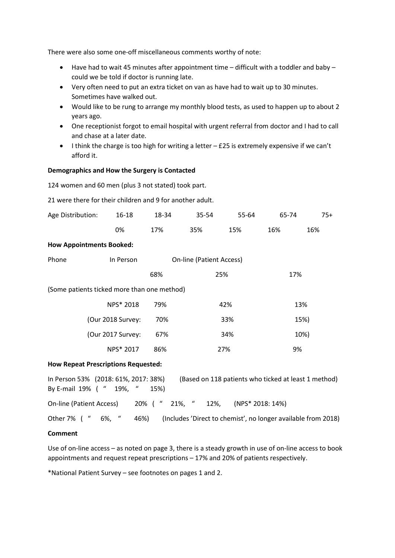There were also some one-off miscellaneous comments worthy of note:

- Have had to wait 45 minutes after appointment time difficult with a toddler and baby could we be told if doctor is running late.
- Very often need to put an extra ticket on van as have had to wait up to 30 minutes. Sometimes have walked out.
- Would like to be rung to arrange my monthly blood tests, as used to happen up to about 2 years ago.
- One receptionist forgot to email hospital with urgent referral from doctor and I had to call and chase at a later date.
- $\bullet$  I think the charge is too high for writing a letter  $-$  £25 is extremely expensive if we can't afford it.

## Demographics and How the Surgery is Contacted

124 women and 60 men (plus 3 not stated) took part.

21 were there for their children and 9 for another adult.

| Age Distribution:                           | $16 - 18$                                        | 18-34                           | 35-54 | 55-64 | 65-74 | $75+$ |  |
|---------------------------------------------|--------------------------------------------------|---------------------------------|-------|-------|-------|-------|--|
|                                             | 0%                                               | 17%                             | 35%   | 15%   | 16%   | 16%   |  |
|                                             | <b>How Appointments Booked:</b>                  |                                 |       |       |       |       |  |
| Phone                                       | In Person                                        | <b>On-line (Patient Access)</b> |       |       |       |       |  |
|                                             |                                                  | 68%                             | 25%   |       | 17%   |       |  |
| (Some patients ticked more than one method) |                                                  |                                 |       |       |       |       |  |
|                                             | NPS* 2018                                        | 79%                             |       | 42%   |       | 13%   |  |
|                                             | (Our 2018 Survey:                                | 70%                             |       | 33%   |       | 15%)  |  |
|                                             | (Our 2017 Survey:                                | 67%                             |       | 34%   |       | 10%)  |  |
|                                             | NPS* 2017                                        | 86%                             |       | 27%   | 9%    |       |  |
|                                             | Harris Barra and Britannia March Barris and also |                                 |       |       |       |       |  |

#### How Repeat Prescriptions Requested:

| In Person 53% (2018: 61%, 2017: 38%) |  |      | (Based on 118 patients who ticked at least 1 method) |  |                                                               |  |
|--------------------------------------|--|------|------------------------------------------------------|--|---------------------------------------------------------------|--|
| By E-mail 19% ( " 19%, "             |  | 15%) |                                                      |  |                                                               |  |
|                                      |  |      |                                                      |  | On-line (Patient Access) 20% ( " 21%, " 12%, (NPS* 2018: 14%) |  |
| Other 7% ( " 6%, "                   |  | 46%) |                                                      |  | (Includes 'Direct to chemist', no longer available from 2018) |  |

### Comment

Use of on-line access – as noted on page 3, there is a steady growth in use of on-line access to book appointments and request repeat prescriptions – 17% and 20% of patients respectively.

\*National Patient Survey – see footnotes on pages 1 and 2.